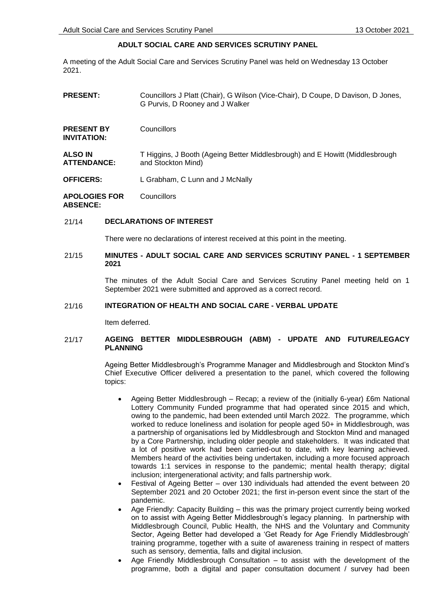# **ADULT SOCIAL CARE AND SERVICES SCRUTINY PANEL**

A meeting of the Adult Social Care and Services Scrutiny Panel was held on Wednesday 13 October 2021.

| <b>PRESENT:</b>                         | Councillors J Platt (Chair), G Wilson (Vice-Chair), D Coupe, D Davison, D Jones,<br>G Purvis, D Rooney and J Walker |
|-----------------------------------------|---------------------------------------------------------------------------------------------------------------------|
| <b>PRESENT BY</b><br><b>INVITATION:</b> | Councillors                                                                                                         |
| <b>ALSO IN</b><br><b>ATTENDANCE:</b>    | T Higgins, J Booth (Ageing Better Middlesbrough) and E Howitt (Middlesbrough<br>and Stockton Mind)                  |
| <b>OFFICERS:</b>                        | L Grabham, C Lunn and J McNally                                                                                     |
| <b>APOLOGIES FOR</b><br><b>ABSENCE:</b> | Councillors                                                                                                         |

### 21/14 **DECLARATIONS OF INTEREST**

There were no declarations of interest received at this point in the meeting.

# 21/15 **MINUTES - ADULT SOCIAL CARE AND SERVICES SCRUTINY PANEL - 1 SEPTEMBER 2021**

The minutes of the Adult Social Care and Services Scrutiny Panel meeting held on 1 September 2021 were submitted and approved as a correct record.

## 21/16 **INTEGRATION OF HEALTH AND SOCIAL CARE - VERBAL UPDATE**

Item deferred.

# 21/17 **AGEING BETTER MIDDLESBROUGH (ABM) - UPDATE AND FUTURE/LEGACY PLANNING**

Ageing Better Middlesbrough's Programme Manager and Middlesbrough and Stockton Mind's Chief Executive Officer delivered a presentation to the panel, which covered the following topics:

- Ageing Better Middlesbrough Recap; a review of the (initially 6-year) £6m National Lottery Community Funded programme that had operated since 2015 and which, owing to the pandemic, had been extended until March 2022. The programme, which worked to reduce loneliness and isolation for people aged 50+ in Middlesbrough, was a partnership of organisations led by Middlesbrough and Stockton Mind and managed by a Core Partnership, including older people and stakeholders. It was indicated that a lot of positive work had been carried-out to date, with key learning achieved. Members heard of the activities being undertaken, including a more focused approach towards 1:1 services in response to the pandemic; mental health therapy; digital inclusion; intergenerational activity; and falls partnership work.
- Festival of Ageing Better over 130 individuals had attended the event between 20 September 2021 and 20 October 2021; the first in-person event since the start of the pandemic.
- Age Friendly: Capacity Building this was the primary project currently being worked on to assist with Ageing Better Middlesbrough's legacy planning. In partnership with Middlesbrough Council, Public Health, the NHS and the Voluntary and Community Sector, Ageing Better had developed a 'Get Ready for Age Friendly Middlesbrough' training programme, together with a suite of awareness training in respect of matters such as sensory, dementia, falls and digital inclusion.
- Age Friendly Middlesbrough Consultation to assist with the development of the programme, both a digital and paper consultation document / survey had been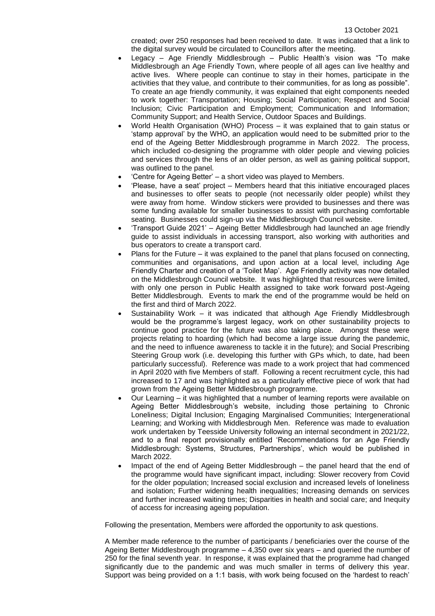created; over 250 responses had been received to date. It was indicated that a link to the digital survey would be circulated to Councillors after the meeting.

- Legacy Age Friendly Middlesbrough Public Health's vision was "To make Middlesbrough an Age Friendly Town, where people of all ages can live healthy and active lives. Where people can continue to stay in their homes, participate in the activities that they value, and contribute to their communities, for as long as possible". To create an age friendly community, it was explained that eight components needed to work together: Transportation; Housing; Social Participation; Respect and Social Inclusion; Civic Participation and Employment; Communication and Information; Community Support; and Health Service, Outdoor Spaces and Buildings.
- World Health Organisation (WHO) Process it was explained that to gain status or 'stamp approval' by the WHO, an application would need to be submitted prior to the end of the Ageing Better Middlesbrough programme in March 2022. The process, which included co-designing the programme with older people and viewing policies and services through the lens of an older person, as well as gaining political support, was outlined to the panel.
- 'Centre for Ageing Better' a short video was played to Members.
- 'Please, have a seat' project Members heard that this initiative encouraged places and businesses to offer seats to people (not necessarily older people) whilst they were away from home. Window stickers were provided to businesses and there was some funding available for smaller businesses to assist with purchasing comfortable seating. Businesses could sign-up via the Middlesbrough Council website.
- 'Transport Guide 2021' Ageing Better Middlesbrough had launched an age friendly guide to assist individuals in accessing transport, also working with authorities and bus operators to create a transport card.
- Plans for the Future it was explained to the panel that plans focused on connecting, communities and organisations, and upon action at a local level, including Age Friendly Charter and creation of a 'Toilet Map'. Age Friendly activity was now detailed on the Middlesbrough Council website. It was highlighted that resources were limited, with only one person in Public Health assigned to take work forward post-Ageing Better Middlesbrough. Events to mark the end of the programme would be held on the first and third of March 2022.
- Sustainability Work it was indicated that although Age Friendly Middlesbrough would be the programme's largest legacy, work on other sustainability projects to continue good practice for the future was also taking place. Amongst these were projects relating to hoarding (which had become a large issue during the pandemic, and the need to influence awareness to tackle it in the future); and Social Prescribing Steering Group work (i.e. developing this further with GPs which, to date, had been particularly successful). Reference was made to a work project that had commenced in April 2020 with five Members of staff. Following a recent recruitment cycle, this had increased to 17 and was highlighted as a particularly effective piece of work that had grown from the Ageing Better Middlesbrough programme.
- Our Learning it was highlighted that a number of learning reports were available on Ageing Better Middlesbrough's website, including those pertaining to Chronic Loneliness; Digital Inclusion; Engaging Marginalised Communities; Intergenerational Learning; and Working with Middlesbrough Men. Reference was made to evaluation work undertaken by Teesside University following an internal secondment in 2021/22, and to a final report provisionally entitled 'Recommendations for an Age Friendly Middlesbrough: Systems, Structures, Partnerships', which would be published in March 2022.
- Impact of the end of Ageing Better Middlesbrough the panel heard that the end of the programme would have significant impact, including: Slower recovery from Covid for the older population; Increased social exclusion and increased levels of loneliness and isolation; Further widening health inequalities; Increasing demands on services and further increased waiting times; Disparities in health and social care; and Inequity of access for increasing ageing population.

Following the presentation, Members were afforded the opportunity to ask questions.

A Member made reference to the number of participants / beneficiaries over the course of the Ageing Better Middlesbrough programme – 4,350 over six years – and queried the number of 250 for the final seventh year. In response, it was explained that the programme had changed significantly due to the pandemic and was much smaller in terms of delivery this year. Support was being provided on a 1:1 basis, with work being focused on the 'hardest to reach'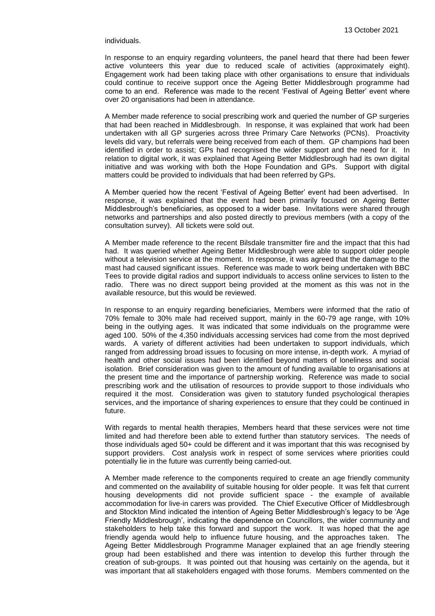#### individuals.

In response to an enquiry regarding volunteers, the panel heard that there had been fewer active volunteers this year due to reduced scale of activities (approximately eight). Engagement work had been taking place with other organisations to ensure that individuals could continue to receive support once the Ageing Better Middlesbrough programme had come to an end. Reference was made to the recent 'Festival of Ageing Better' event where over 20 organisations had been in attendance.

A Member made reference to social prescribing work and queried the number of GP surgeries that had been reached in Middlesbrough. In response, it was explained that work had been undertaken with all GP surgeries across three Primary Care Networks (PCNs). Proactivity levels did vary, but referrals were being received from each of them. GP champions had been identified in order to assist; GPs had recognised the wider support and the need for it. In relation to digital work, it was explained that Ageing Better Middlesbrough had its own digital initiative and was working with both the Hope Foundation and GPs. Support with digital matters could be provided to individuals that had been referred by GPs.

A Member queried how the recent 'Festival of Ageing Better' event had been advertised. In response, it was explained that the event had been primarily focused on Ageing Better Middlesbrough's beneficiaries, as opposed to a wider base. Invitations were shared through networks and partnerships and also posted directly to previous members (with a copy of the consultation survey). All tickets were sold out.

A Member made reference to the recent Bilsdale transmitter fire and the impact that this had had. It was queried whether Ageing Better Middlesbrough were able to support older people without a television service at the moment. In response, it was agreed that the damage to the mast had caused significant issues. Reference was made to work being undertaken with BBC Tees to provide digital radios and support individuals to access online services to listen to the radio. There was no direct support being provided at the moment as this was not in the available resource, but this would be reviewed.

In response to an enquiry regarding beneficiaries, Members were informed that the ratio of 70% female to 30% male had received support, mainly in the 60-79 age range, with 10% being in the outlying ages. It was indicated that some individuals on the programme were aged 100. 50% of the 4,350 individuals accessing services had come from the most deprived wards. A variety of different activities had been undertaken to support individuals, which ranged from addressing broad issues to focusing on more intense, in-depth work. A myriad of health and other social issues had been identified beyond matters of loneliness and social isolation. Brief consideration was given to the amount of funding available to organisations at the present time and the importance of partnership working. Reference was made to social prescribing work and the utilisation of resources to provide support to those individuals who required it the most. Consideration was given to statutory funded psychological therapies services, and the importance of sharing experiences to ensure that they could be continued in future.

With regards to mental health therapies, Members heard that these services were not time limited and had therefore been able to extend further than statutory services. The needs of those individuals aged 50+ could be different and it was important that this was recognised by support providers. Cost analysis work in respect of some services where priorities could potentially lie in the future was currently being carried-out.

A Member made reference to the components required to create an age friendly community and commented on the availability of suitable housing for older people. It was felt that current housing developments did not provide sufficient space - the example of available accommodation for live-in carers was provided. The Chief Executive Officer of Middlesbrough and Stockton Mind indicated the intention of Ageing Better Middlesbrough's legacy to be 'Age Friendly Middlesbrough', indicating the dependence on Councillors, the wider community and stakeholders to help take this forward and support the work. It was hoped that the age friendly agenda would help to influence future housing, and the approaches taken. The Ageing Better Middlesbrough Programme Manager explained that an age friendly steering group had been established and there was intention to develop this further through the creation of sub-groups. It was pointed out that housing was certainly on the agenda, but it was important that all stakeholders engaged with those forums. Members commented on the